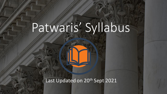## Patwaris' Syllabus

Last Updated on 20<sup>th</sup> Sept 2021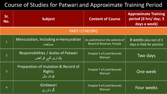## Course of Studies for Patwari and Approximate Training Period

| Sr.<br>No.             | Subject                                                            | <b>Content of Course</b>                                   | <b>Approximate Training</b><br>period (6 hrs/ day; 3<br>days a week) |
|------------------------|--------------------------------------------------------------------|------------------------------------------------------------|----------------------------------------------------------------------|
| <b>PART-I (THEORY)</b> |                                                                    |                                                            |                                                                      |
| $\mathbf{1}$           | Mensuration, Including e-mensuration<br>مساحت                      | As published on the website of<br>Board of Revenue, Punjab | 8 weeks plus rest of 3<br>days in field for practice                 |
| $\overline{2}$         | Responsibilities / duties of Patwari<br>پٹواری کے فرائض            | <b>Chapter 3 of Land Records</b><br>Manual                 | Two days                                                             |
| 3                      | Preparation of mutation & Record of<br><b>Rights</b><br>قو ائد مال | <b>Chapter 7 of Land Records</b><br>Manual                 | One week                                                             |
| $\overline{4}$         | Girdawari<br>گر داور ی                                             | <b>Chapter 9 of Land Records</b><br>Manual                 | Four weeks                                                           |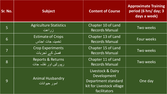| Sr. No.        | <b>Subject</b>                                              | <b>Content of Course</b>                                                                             | <b>Approximate Training</b><br>period (6 hrs/ day; 3<br>days a week) |
|----------------|-------------------------------------------------------------|------------------------------------------------------------------------------------------------------|----------------------------------------------------------------------|
| 5              | <b>Agriculture Statistics</b><br>زراعت                      | Chapter 10 of Land<br><b>Records Manual</b>                                                          | Two weeks                                                            |
| 6              | <b>Estimate of Crops</b><br>تخمينہ جات اجناس                | Chapter 13 of Land<br><b>Records Manual</b>                                                          | Four weeks                                                           |
| $\overline{7}$ | <b>Crop Experiments</b><br>فصل کے تجربات                    | Chapter 15 of Land<br><b>Records Manual</b>                                                          | Two weeks                                                            |
| 8              | <b>Reports &amp; Returns</b><br><u>ارپورٹس اور نقشہ جات</u> | Chapter 11 of Land<br><b>Records Manual</b>                                                          | Two weeks                                                            |
| 9              | Animal Husbandry<br>امور حيوانات                            | Livestock & Dairy<br>Development<br>Department standard<br>kit for Livestock village<br>facilitators | One day                                                              |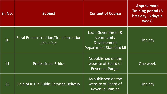| Sr. No. | <b>Subject</b>                                             | <b>Content of Course</b>                                                  | <b>Approximate</b><br><b>Training period (6)</b><br>hrs/ day; 3 days a<br>week) |
|---------|------------------------------------------------------------|---------------------------------------------------------------------------|---------------------------------------------------------------------------------|
| 10      | <b>Rural Re-construction/Transformation</b><br>ديہات سدهار | Local Government &<br>Community<br>Development<br>Department Standard kit | One day                                                                         |
| 11      | <b>Professional Ethics</b>                                 | As published on the<br>website of Board of<br>Revenue, Punjab             | One week                                                                        |
| 12      | Role of ICT in Public Services Delivery                    | As published on the<br>website of Board of<br>Revenue, Punjab             | One day                                                                         |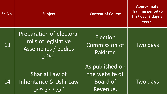| Sr. No. | <b>Subject</b>                                                                           | <b>Content of Course</b>                                         | <b>Approximate</b><br><b>Training period (6)</b><br>hrs/ day; 3 days a<br>week) |
|---------|------------------------------------------------------------------------------------------|------------------------------------------------------------------|---------------------------------------------------------------------------------|
| 13      | <b>Preparation of electoral</b><br>rolls of legislative<br>Assemblies / bodies<br>البكشن | Election<br><b>Commission of</b><br>Pakistan                     | Two days                                                                        |
| 14      | Shariat Law of<br>Inheritance & Ushr Law<br>شریعت و عشر                                  | As published on<br>the website of<br><b>Board of</b><br>Revenue, | Two days                                                                        |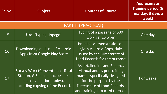| Sr. No.             | <b>Subject</b>                                                                                                                              | <b>Content of Course</b>                                                                                                                                                              | <b>Approximate</b><br><b>Training period (6</b><br>hrs/ day; 3 days a<br>week) |
|---------------------|---------------------------------------------------------------------------------------------------------------------------------------------|---------------------------------------------------------------------------------------------------------------------------------------------------------------------------------------|--------------------------------------------------------------------------------|
| PART-II (PRACTICAL) |                                                                                                                                             |                                                                                                                                                                                       |                                                                                |
| 15                  | Urdu Typing (Inpage)                                                                                                                        | Typing of a passage of 500<br>words @25 wpm                                                                                                                                           | One day                                                                        |
| 16                  | Downloading and use of Android<br>Apps from Google Play Store                                                                               | Practical demonstration on<br>given Android Apps, duly<br>issued by the Directorate of<br>Land Records for the purpose                                                                | One day                                                                        |
| 17                  | <b>Survey Work (Conventional, Total</b><br>Station, GIS based etc, besides<br>use of valuation tables),<br>including copying of the Record. | As detailed in Land Records<br>Manual and as per training<br>manual specifically designed<br>for the purpose by the<br>Directorate of Land Records,<br>and training imparted thereof. | For weeks                                                                      |